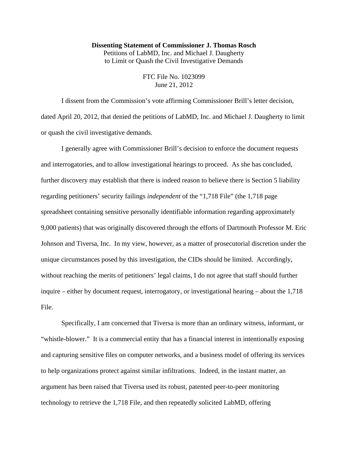## **Dissenting Statement of Commissioner J. Thomas Rosch**

Petitions of LabMD, Inc. and Michael J. Daugherty to Limit or Quash the Civil Investigative Demands

> FTC File No. 1023099 June 21, 2012

I dissent from the Commission's vote affirming Commissioner Brill's letter decision, dated April 20, 2012, that denied the petitions of LabMD, Inc. and Michael J. Daugherty to limit or quash the civil investigative demands.

I generally agree with Commissioner Brill's decision to enforce the document requests and interrogatories, and to allow investigational hearings to proceed. As she has concluded, further discovery may establish that there is indeed reason to believe there is Section 5 liability regarding petitioners' security failings *independent* of the "1,718 File" (the 1,718 page spreadsheet containing sensitive personally identifiable information regarding approximately 9,000 patients) that was originally discovered through the efforts of Dartmouth Professor M. Eric Johnson and Tiversa, Inc. In my view, however, as a matter of prosecutorial discretion under the unique circumstances posed by this investigation, the CIDs should be limited. Accordingly, without reaching the merits of petitioners' legal claims, I do not agree that staff should further inquire – either by document request, interrogatory, or investigational hearing – about the 1,718 File.

Specifically, I am concerned that Tiversa is more than an ordinary witness, informant, or "whistle-blower." It is a commercial entity that has a financial interest in intentionally exposing and capturing sensitive files on computer networks, and a business model of offering its services to help organizations protect against similar infiltrations. Indeed, in the instant matter, an argument has been raised that Tiversa used its robust, patented peer-to-peer monitoring technology to retrieve the 1,718 File, and then repeatedly solicited LabMD, offering